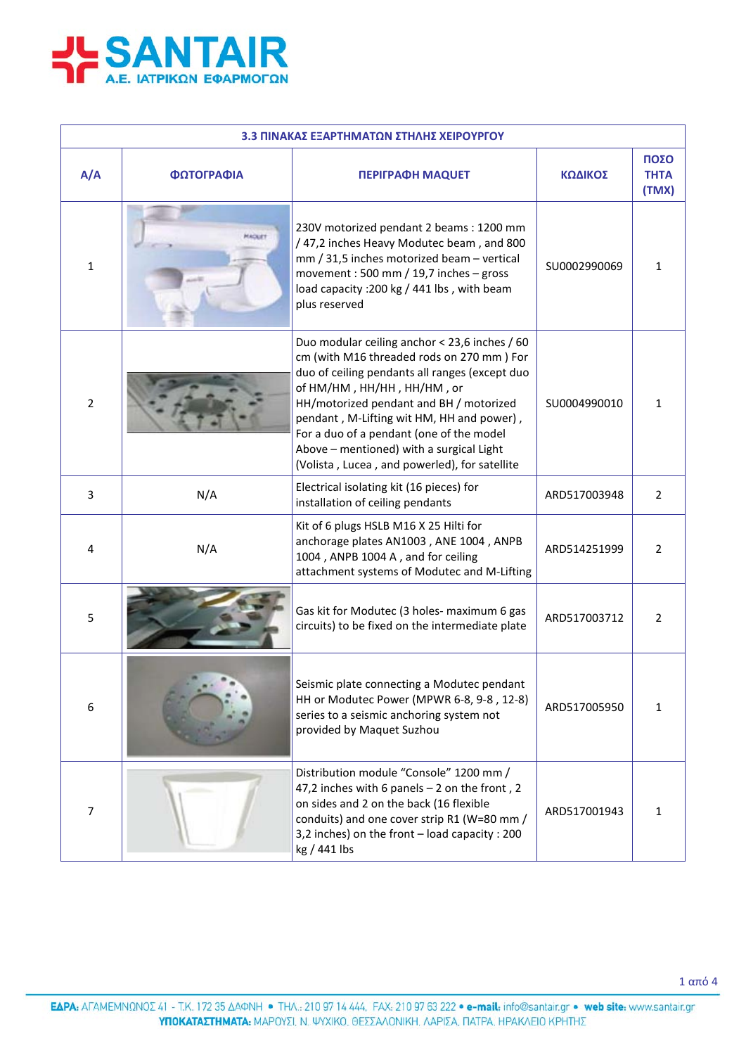

| 3.3 ΠΙΝΑΚΑΣ ΕΞΑΡΤΗΜΑΤΩΝ ΣΤΗΛΗΣ ΧΕΙΡΟΥΡΓΟΥ |            |                                                                                                                                                                                                                                                                                                                                                                                                             |              |                              |  |
|-------------------------------------------|------------|-------------------------------------------------------------------------------------------------------------------------------------------------------------------------------------------------------------------------------------------------------------------------------------------------------------------------------------------------------------------------------------------------------------|--------------|------------------------------|--|
| A/A                                       | ΦΩΤΟΓΡΑΦΙΑ | <b>ΠΕΡΙΓΡΑΦΗ ΜΑQUET</b>                                                                                                                                                                                                                                                                                                                                                                                     | ΚΩΔΙΚΟΣ      | ΠΟΣΟ<br><b>THTA</b><br>(TMX) |  |
| 1                                         | MAGKIET    | 230V motorized pendant 2 beams: 1200 mm<br>/47,2 inches Heavy Modutec beam, and 800<br>mm / 31,5 inches motorized beam - vertical<br>movement: 500 mm / 19,7 inches - gross<br>load capacity : 200 kg / 441 lbs, with beam<br>plus reserved                                                                                                                                                                 | SU0002990069 | $\mathbf{1}$                 |  |
| 2                                         |            | Duo modular ceiling anchor < 23,6 inches / 60<br>cm (with M16 threaded rods on 270 mm) For<br>duo of ceiling pendants all ranges (except duo<br>of HM/HM, HH/HH, HH/HM, or<br>HH/motorized pendant and BH / motorized<br>pendant, M-Lifting wit HM, HH and power),<br>For a duo of a pendant (one of the model<br>Above - mentioned) with a surgical Light<br>(Volista, Lucea, and powerled), for satellite | SU0004990010 | $\mathbf{1}$                 |  |
| 3                                         | N/A        | Electrical isolating kit (16 pieces) for<br>installation of ceiling pendants                                                                                                                                                                                                                                                                                                                                | ARD517003948 | $\overline{2}$               |  |
| 4                                         | N/A        | Kit of 6 plugs HSLB M16 X 25 Hilti for<br>anchorage plates AN1003, ANE 1004, ANPB<br>1004, ANPB 1004 A, and for ceiling<br>attachment systems of Modutec and M-Lifting                                                                                                                                                                                                                                      | ARD514251999 | $\overline{2}$               |  |
| 5                                         |            | Gas kit for Modutec (3 holes- maximum 6 gas<br>circuits) to be fixed on the intermediate plate                                                                                                                                                                                                                                                                                                              | ARD517003712 | $\overline{2}$               |  |
| 6                                         |            | Seismic plate connecting a Modutec pendant<br>HH or Modutec Power (MPWR 6-8, 9-8, 12-8)<br>series to a seismic anchoring system not<br>provided by Maquet Suzhou                                                                                                                                                                                                                                            | ARD517005950 | $\mathbf{1}$                 |  |
| 7                                         |            | Distribution module "Console" 1200 mm /<br>47,2 inches with 6 panels $-2$ on the front, 2<br>on sides and 2 on the back (16 flexible<br>conduits) and one cover strip R1 (W=80 mm /<br>3,2 inches) on the front - load capacity : 200<br>kg / 441 lbs                                                                                                                                                       | ARD517001943 | $\mathbf{1}$                 |  |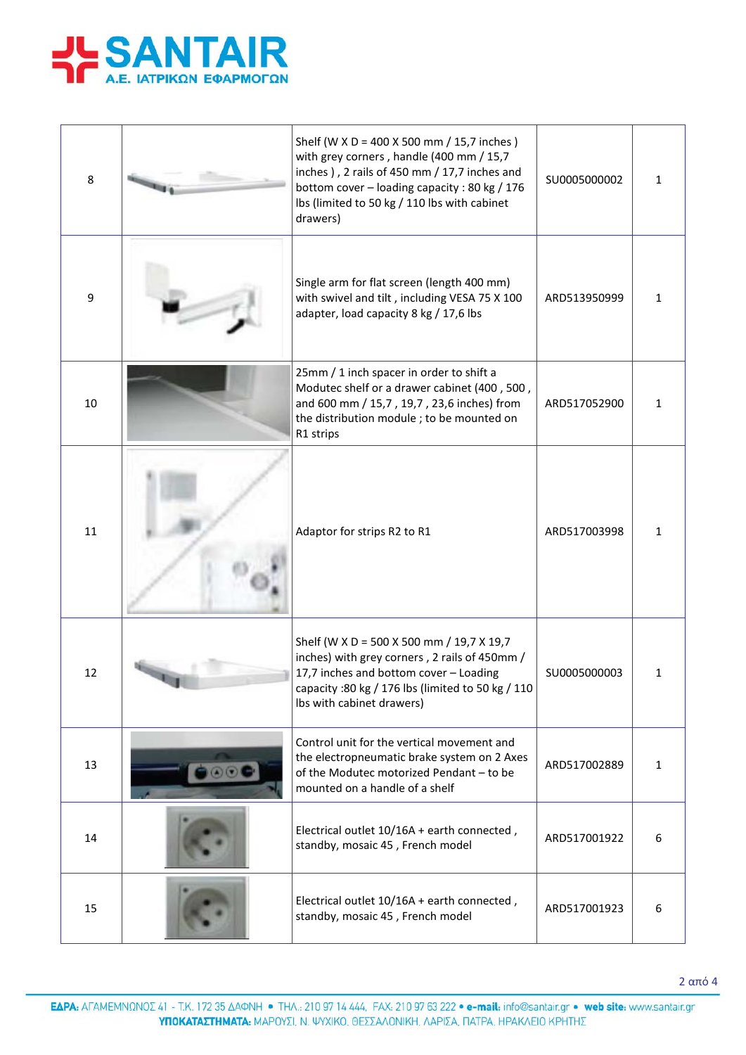

| 8  | Shelf (W X D = 400 X 500 mm / 15,7 inches)<br>with grey corners, handle (400 mm / 15,7<br>inches), 2 rails of 450 mm / 17,7 inches and<br>bottom cover - loading capacity : 80 kg / 176<br>lbs (limited to 50 kg / 110 lbs with cabinet<br>drawers) | SU0005000002 | 1            |
|----|-----------------------------------------------------------------------------------------------------------------------------------------------------------------------------------------------------------------------------------------------------|--------------|--------------|
| 9  | Single arm for flat screen (length 400 mm)<br>with swivel and tilt, including VESA 75 X 100<br>adapter, load capacity 8 kg / 17,6 lbs                                                                                                               | ARD513950999 | 1            |
| 10 | 25mm / 1 inch spacer in order to shift a<br>Modutec shelf or a drawer cabinet (400, 500,<br>and 600 mm / 15,7, 19,7, 23,6 inches) from<br>the distribution module; to be mounted on<br>R1 strips                                                    | ARD517052900 | $\mathbf{1}$ |
| 11 | Adaptor for strips R2 to R1                                                                                                                                                                                                                         | ARD517003998 | 1            |
| 12 | Shelf (W X D = 500 X 500 mm / 19,7 X 19,7<br>inches) with grey corners, 2 rails of 450mm /<br>17,7 inches and bottom cover - Loading<br>capacity :80 kg / 176 lbs (limited to 50 kg / 110<br>Ibs with cabinet drawers)                              | SU0005000003 | 1            |
| 13 | Control unit for the vertical movement and<br>the electropneumatic brake system on 2 Axes<br>of the Modutec motorized Pendant - to be<br>mounted on a handle of a shelf                                                                             | ARD517002889 | $\mathbf{1}$ |
| 14 | Electrical outlet 10/16A + earth connected,<br>standby, mosaic 45, French model                                                                                                                                                                     | ARD517001922 | 6            |
| 15 | Electrical outlet 10/16A + earth connected,<br>standby, mosaic 45, French model                                                                                                                                                                     | ARD517001923 | 6            |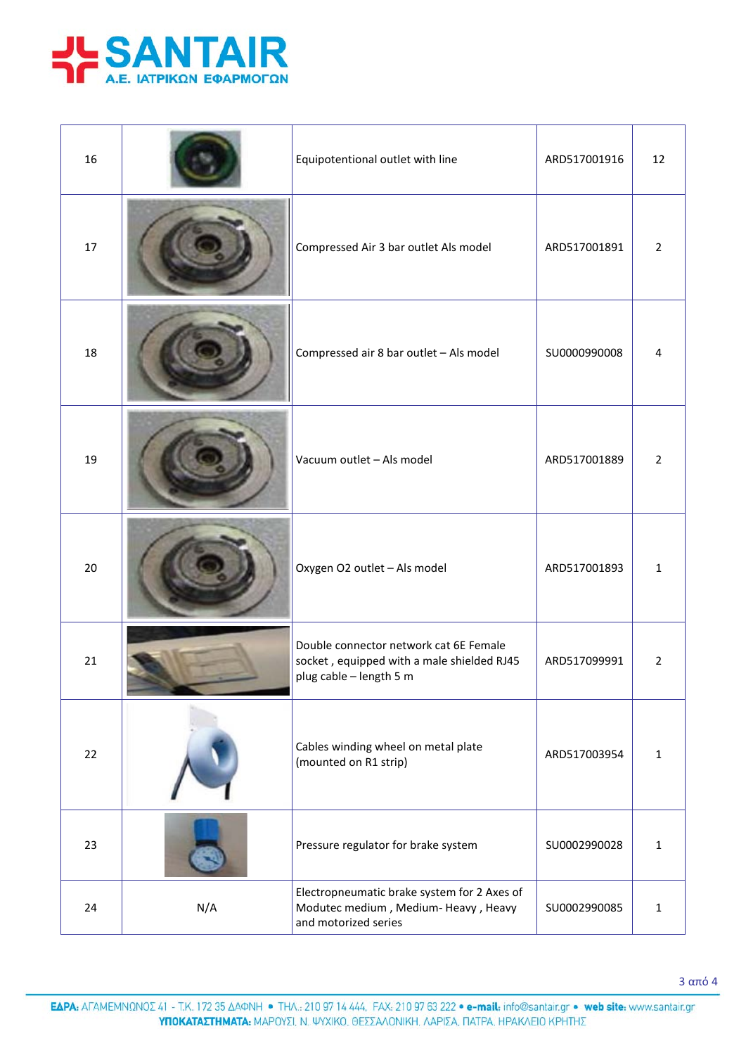

| 16 |     | Equipotentional outlet with line                                                                                | ARD517001916 | 12             |
|----|-----|-----------------------------------------------------------------------------------------------------------------|--------------|----------------|
| 17 |     | Compressed Air 3 bar outlet Als model                                                                           | ARD517001891 | $\overline{2}$ |
| 18 |     | Compressed air 8 bar outlet - Als model                                                                         | SU0000990008 | 4              |
| 19 |     | Vacuum outlet - Als model                                                                                       | ARD517001889 | $\overline{2}$ |
| 20 |     | Oxygen O2 outlet - Als model                                                                                    | ARD517001893 | $\mathbf{1}$   |
| 21 |     | Double connector network cat 6E Female<br>socket, equipped with a male shielded RJ45<br>plug cable - length 5 m | ARD517099991 | $\overline{2}$ |
| 22 |     | Cables winding wheel on metal plate<br>(mounted on R1 strip)                                                    | ARD517003954 | $\mathbf{1}$   |
| 23 |     | Pressure regulator for brake system                                                                             | SU0002990028 | $\mathbf{1}$   |
| 24 | N/A | Electropneumatic brake system for 2 Axes of<br>Modutec medium, Medium-Heavy, Heavy<br>and motorized series      | SU0002990085 | $\mathbf{1}$   |